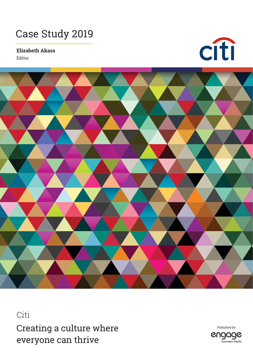## Case Study 2019

**Elizabeth Akass**

Editor





Citi Creating a culture where everyone can thrive

Published byengage business media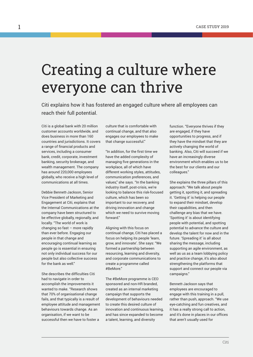## Creating a culture where everyone can thrive

Citi explains how it has fostered an engaged culture where all employees can reach their full potential.

Citi is a global bank with 20 million customer accounts worldwide, and does business in more than 160 countries and jurisdictions. It covers a range of financial products and services, including a consumer bank, credit, corporate, investment banking, security brokerage, and wealth management. The company has around 220,000 employees globally, who receive a high level of communications at all times.

Debbie Bennett-Jackson, Senior Vice President of Marketing and Engagement at Citi, explains that the Internal Communications at the company have been structured to be effective globally, regionally, and locally. "The world of work is changing so fast – more rapidly than ever before. Engaging our people in that change and encouraging continual learning as people go is essential in ensuring not only individual success for our people but also collective success for the bank as well"

She describes the difficulties Citi had to navigate in order to accomplish the improvements it wanted to make. "Research shows that 70% of organisational change fails, and that typically is a result of employee attitude and management behaviours towards change. As an organisation, if we want to be successful then we have to foster a

culture that is comfortable with continual change, and that also engages our employees to make that change successful."

"In addition, for the first time we have the added complexity of managing five generations in the workplace, all of which have different working styles, attitudes, communication preferences, and values," she says. "In the banking industry itself, post-crisis, we're looking to balance this risk-focused culture, which has been so important to our recovery, and driving innovation and change which we need to survive moving forward"

Aligning with this focus on continual change, Citi has placed a focus on helping its people 'learn, grow, and innovate'. She says: "We formed a partnership between resourcing, learning and diversity, and corporate communications to create a programme called #BeMore."

The #BeMore programme is CEO sponsored and non-HR branded, created as an internal marketing campaign that supports the development of behaviours needed to create this desired culture of innovation and continuous learning, and has since expanded to become a talent, learning, and diversity

function. "Everyone thrives if they are engaged, if they have opportunities to progress, and if they have the mindset that they are actively changing the world of banking. Also, Citi will succeed if we have an increasingly diverse environment which enables us to be the best for our clients and our colleagues."

She explains the three pillars of this approach: "We talk about people getting it, spotting it, and spreading it. 'Getting it' is helping our people to expand their mindset, develop their capabilities, and then challenge any bias that we have. 'Spotting it' is about identifying people with potential, and spotting potential to advance the culture and develop the talent for now and in the future. 'Spreading it' is all about sharing the message, including supporting an agile environment, as well as us as a team lobbying policy and practice change, it's also about strengthening the platforms that support and connect our people via campaigns."

Bennett-Jackson says that employees are encouraged to engage with this training in a pull, rather than push, approach. "We use eye-catching and fun creatives, and it has a really strong call to action, and it's done in places in our offices that aren't usually used for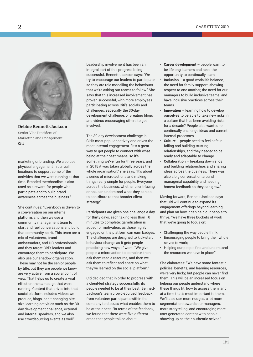## CASE STUDY 2019



**Debbie Bennett-Jackson** Senior Vice President of Marketing and Engagement **Citi**

marketing or branding. We also use physical engagement in our call locations to support some of the activities that we were running at that time. Branded merchandise is also used as a reward for people who participate and to build brand awareness across the business."

She continues: "Everybody is driven to a conversation on our internal platform, and then we use a community management team to start and fuel conversations and build that community spirit. This team are a mix of volunteers, brand ambassadors, and HR professionals, and they target Citi's leaders and encourage them to participate. We also use our shadow organisation. These may not be the senior people by title, but they are people we know are very active from a social point of view. That helps us to create a viral effect on the campaign that we're running. Content that drives into that social platform includes videos we produce, blogs, habit-changing bitesize learning activities such as the 30 day development challenge, external and internal speakers, and we also use crowdsourcing events as well."

Leadership involvement has been an integral part of this progress being successful. Bennett-Jackson says: "We try to encourage our leaders to participate so they are role modelling the behaviours that we're asking our teams to follow." She says that this increased involvement has proven successful, with more employees participating across Citi's socials and challenges, especially the 30-day development challenge, or creating blogs and videos encouraging others to get involved.

The 30-day development challenge is Citi's most popular activity and drives the most internal engagement. "It's a great way to get people to connect with what being at their best means, so it's something we've run for three years, and in 2018 it was taken globally across the whole organisation," she says. "It's about a series of micro-actions and making things really simple for people. Everyone across the business, whether client-facing or not, can understand what they can do to contribute to that broader client strategy."

Participants are given one challenge a day for thirty days, each taking less than 10 minutes to complete; gamification is added for motivation, as those highly engaged on the platform can earn badges. The challenges are designed to kick-start behaviour change as it gets people practicing new ways of work. "We give people a micro-action to complete, then ask them read a resource, and then we ask them to reflect and share on what they've learned on the social platform."

Citi decided that in order to progress with a client-led strategy successfully, its people needed to be at their best. Bennett-Jackson's team crowd-sourced feedback from volunteer participants within the company to discuss what enables them to be at their best. "In terms of the feedback, we found that there were five different areas that people talked about:

- **Career development** people want to be lifelong learners and need the opportunity to continually learn.
- **Inclusion** a good work/life balance, the need for family support, showing respect to one another, the need for our managers to build inclusive teams, and have inclusive practices across their teams.
- **Innovation** learning how to develop ourselves to be able to take new risks in a culture that has been avoiding risks for a decade? People also wanted to continually challenge ideas and current internal processes.
- **Culture** people need to feel safe in failing and building trusting relationships, and they needed to be ready and adaptable to change.
- **Collaboration** breaking down silos and building relationships and sharing ideas across the business. There was also a big conversation around managerial capability and needing honest feedback so they can grow."

Moving forward, Bennett-Jackson says that Citi will continue to expand its engagement offerings beyond learning and plan on how it can help our people to thrive. "We have three buckets of work that we're going to focus on:

- Challenging the way people think;
- Encouraging people to bring their whole selves to work;
- Helping our people find and understand the resources we have in place."

She elaborates: "We have some fantastic policies, benefits, and learning resources, we're very lucky, but people can never find them. This will be an increased focus on helping our people understand where these things fit, how to access them, and at a time that's most important to them. We'll also use more nudges, a lot more segmentation towards our managers, more storytelling, and encouraging more user-generated content with people showing up as their authentic selves."